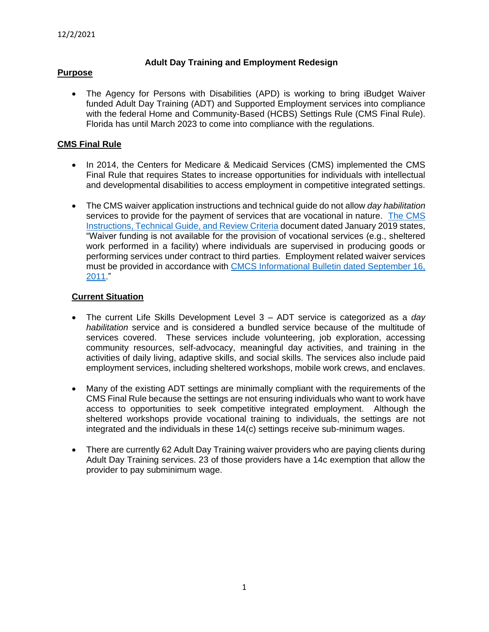# **Adult Day Training and Employment Redesign**

## **Purpose**

• The Agency for Persons with Disabilities (APD) is working to bring iBudget Waiver funded Adult Day Training (ADT) and Supported Employment services into compliance with the federal Home and Community-Based (HCBS) Settings Rule (CMS Final Rule). Florida has until March 2023 to come into compliance with the regulations.

# **CMS Final Rule**

- In 2014, the Centers for Medicare & Medicaid Services (CMS) implemented the CMS Final Rule that requires States to increase opportunities for individuals with intellectual and developmental disabilities to access employment in competitive integrated settings.
- The CMS waiver application instructions and technical guide do not allow *day habilitation* services to provide for the payment of services that are vocational in nature. [The CMS](https://www.hhs.gov/guidance/sites/default/files/hhs-guidance-documents/instructions_technicalguide_v3.6_26.pdf)  [Instructions, Technical Guide, and Review Criteria](https://www.hhs.gov/guidance/sites/default/files/hhs-guidance-documents/instructions_technicalguide_v3.6_26.pdf) document dated January 2019 states, "Waiver funding is not available for the provision of vocational services (e.g., sheltered work performed in a facility) where individuals are supervised in producing goods or performing services under contract to third parties. Employment related waiver services must be provided in accordance with CMCS Informational Bulletin dated September 16, [2011.](https://downloads.cms.gov/cmsgov/archived-downloads/CMCSBulletins/downloads/CIB-9-16-11.pdf)"

## **Current Situation**

- The current Life Skills Development Level 3 ADT service is categorized as a *day habilitation* service and is considered a bundled service because of the multitude of services covered. These services include volunteering, job exploration, accessing community resources, self-advocacy, meaningful day activities, and training in the activities of daily living, adaptive skills, and social skills. The services also include paid employment services, including sheltered workshops, mobile work crews, and enclaves.
- Many of the existing ADT settings are minimally compliant with the requirements of the CMS Final Rule because the settings are not ensuring individuals who want to work have access to opportunities to seek competitive integrated employment. Although the sheltered workshops provide vocational training to individuals, the settings are not integrated and the individuals in these 14(c) settings receive sub-minimum wages.
- There are currently 62 Adult Day Training waiver providers who are paying clients during Adult Day Training services. 23 of those providers have a 14c exemption that allow the provider to pay subminimum wage.